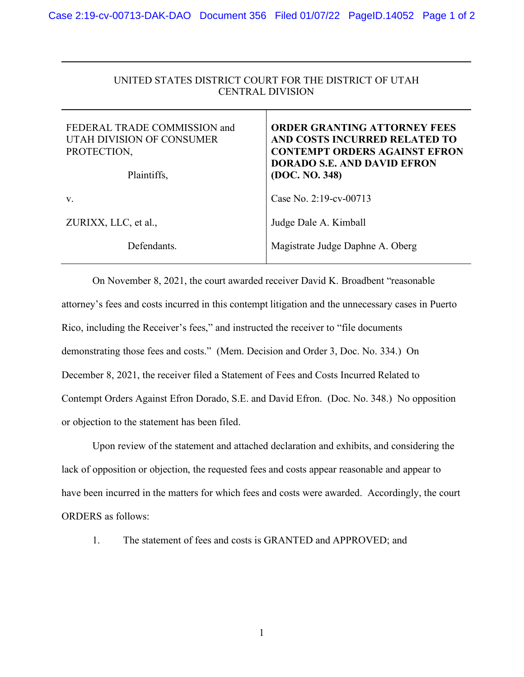## UNITED STATES DISTRICT COURT FOR THE DISTRICT OF UTAH CENTRAL DIVISION

| FEDERAL TRADE COMMISSION and<br>UTAH DIVISION OF CONSUMER<br>PROTECTION,<br>Plaintiffs, | <b>ORDER GRANTING ATTORNEY FEES</b><br>AND COSTS INCURRED RELATED TO<br><b>CONTEMPT ORDERS AGAINST EFRON</b><br><b>DORADO S.E. AND DAVID EFRON</b><br>(DOC. NO. 348) |
|-----------------------------------------------------------------------------------------|----------------------------------------------------------------------------------------------------------------------------------------------------------------------|
| V.                                                                                      | Case No. 2:19-cv-00713                                                                                                                                               |
| ZURIXX, LLC, et al.,                                                                    | Judge Dale A. Kimball                                                                                                                                                |
| Defendants.                                                                             | Magistrate Judge Daphne A. Oberg                                                                                                                                     |

On November 8, 2021, the court awarded receiver David K. Broadbent "reasonable attorney's fees and costs incurred in this contempt litigation and the unnecessary cases in Puerto Rico, including the Receiver's fees," and instructed the receiver to "file documents demonstrating those fees and costs." (Mem. Decision and Order 3, Doc. No. 334.) On December 8, 2021, the receiver filed a Statement of Fees and Costs Incurred Related to Contempt Orders Against Efron Dorado, S.E. and David Efron. (Doc. No. 348.) No opposition or objection to the statement has been filed.

Upon review of the statement and attached declaration and exhibits, and considering the lack of opposition or objection, the requested fees and costs appear reasonable and appear to have been incurred in the matters for which fees and costs were awarded. Accordingly, the court ORDERS as follows:

1. The statement of fees and costs is GRANTED and APPROVED; and